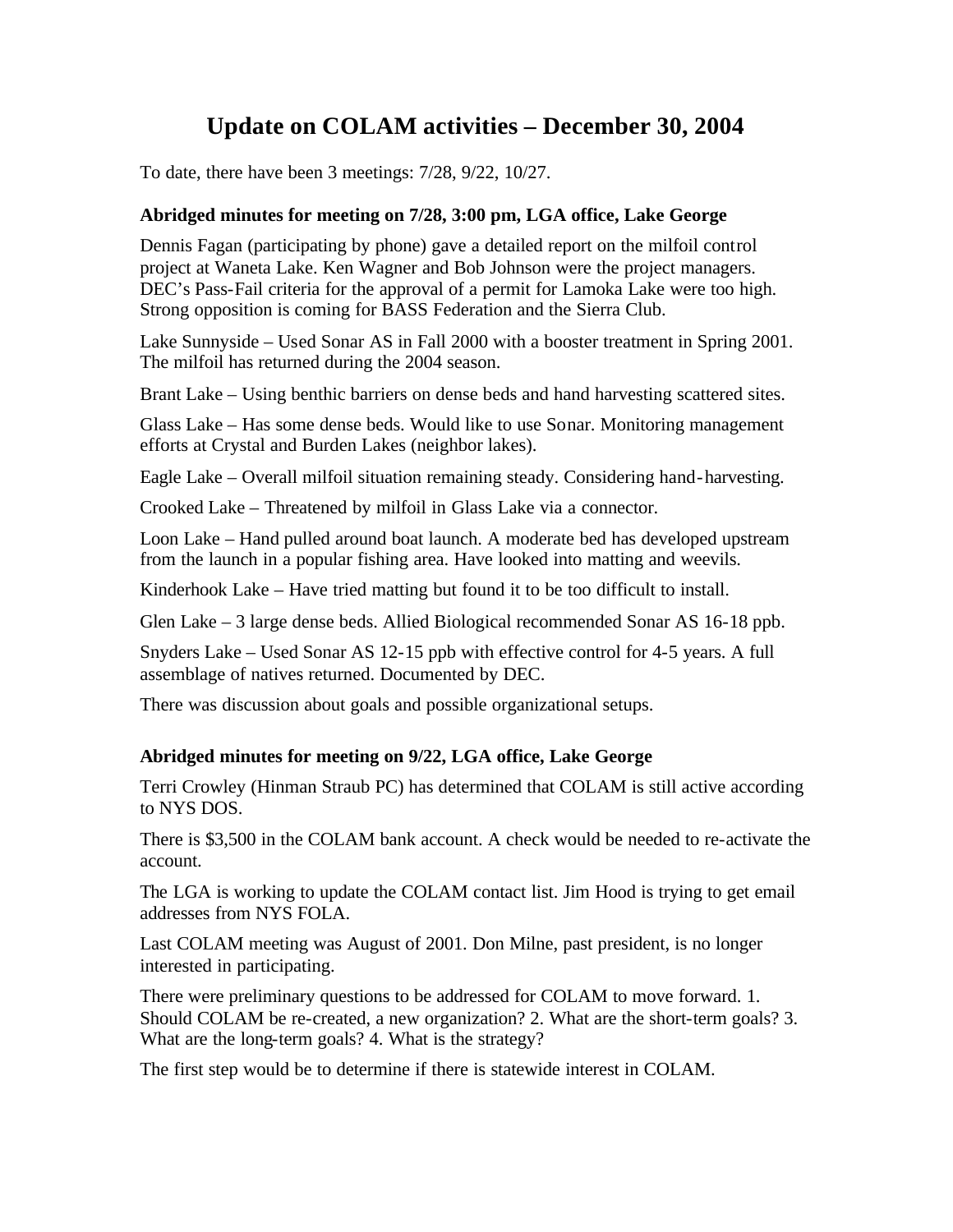# **Update on COLAM activities – December 30, 2004**

To date, there have been 3 meetings: 7/28, 9/22, 10/27.

### **Abridged minutes for meeting on 7/28, 3:00 pm, LGA office, Lake George**

Dennis Fagan (participating by phone) gave a detailed report on the milfoil control project at Waneta Lake. Ken Wagner and Bob Johnson were the project managers. DEC's Pass-Fail criteria for the approval of a permit for Lamoka Lake were too high. Strong opposition is coming for BASS Federation and the Sierra Club.

Lake Sunnyside – Used Sonar AS in Fall 2000 with a booster treatment in Spring 2001. The milfoil has returned during the 2004 season.

Brant Lake – Using benthic barriers on dense beds and hand harvesting scattered sites.

Glass Lake – Has some dense beds. Would like to use Sonar. Monitoring management efforts at Crystal and Burden Lakes (neighbor lakes).

Eagle Lake – Overall milfoil situation remaining steady. Considering hand-harvesting.

Crooked Lake – Threatened by milfoil in Glass Lake via a connector.

Loon Lake – Hand pulled around boat launch. A moderate bed has developed upstream from the launch in a popular fishing area. Have looked into matting and weevils.

Kinderhook Lake – Have tried matting but found it to be too difficult to install.

Glen Lake – 3 large dense beds. Allied Biological recommended Sonar AS 16-18 ppb.

Snyders Lake – Used Sonar AS 12-15 ppb with effective control for 4-5 years. A full assemblage of natives returned. Documented by DEC.

There was discussion about goals and possible organizational setups.

#### **Abridged minutes for meeting on 9/22, LGA office, Lake George**

Terri Crowley (Hinman Straub PC) has determined that COLAM is still active according to NYS DOS.

There is \$3,500 in the COLAM bank account. A check would be needed to re-activate the account.

The LGA is working to update the COLAM contact list. Jim Hood is trying to get email addresses from NYS FOLA.

Last COLAM meeting was August of 2001. Don Milne, past president, is no longer interested in participating.

There were preliminary questions to be addressed for COLAM to move forward. 1. Should COLAM be re-created, a new organization? 2. What are the short-term goals? 3. What are the long-term goals? 4. What is the strategy?

The first step would be to determine if there is statewide interest in COLAM.